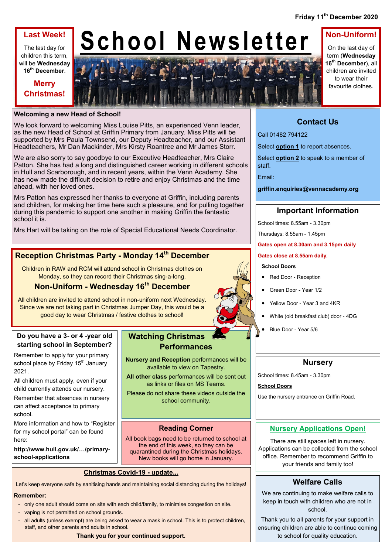## **Last Week!**

The last day for children this term, will be **Wednesday 16th December**.

**Merry** 

# **School Newsletter**



On the last day of term (**Wednesday 16th December**), all children are invited to wear their favourite clothes.

**Non-Uniform!**

## **Welcoming a new Head of School!**

We look forward to welcoming Miss Louise Pitts, an experienced Venn leader, as the new Head of School at Griffin Primary from January. Miss Pitts will be supported by Mrs Paula Townsend, our Deputy Headteacher, and our Assistant Headteachers, Mr Dan Mackinder, Mrs Kirsty Roantree and Mr James Storr.

We are also sorry to say goodbye to our Executive Headteacher, Mrs Claire Patton. She has had a long and distinguished career working in different schools in Hull and Scarborough, and in recent years, within the Venn Academy. She has now made the difficult decision to retire and enjoy Christmas and the time ahead, with her loved ones.

Mrs Patton has expressed her thanks to everyone at Griffin, including parents and children, for making her time here such a pleasure, and for pulling together during this pandemic to support one another in making Griffin the fantastic school it is.

Mrs Hart will be taking on the role of Special Educational Needs Coordinator.

# **Reception Christmas Party - Monday 14th December**

Children in RAW and RCM will attend school in Christmas clothes on Monday, so they can record their Christmas sing-a-long.

# **Non-Uniform - Wednesday 16th December**

All children are invited to attend school in non-uniform next Wednesday. Since we are not taking part in Christmas Jumper Day, this would be a good day to wear Christmas / festive clothes to school!

### **Do you have a 3- or 4 -year old starting school in September?**

Remember to apply for your primary school place by Friday 15<sup>th</sup> January 2021.

All children must apply, even if your child currently attends our nursery. Remember that absences in nursery can affect acceptance to primary school.

More information and how to "Register for my school portal" can be found here:

**http://www.hull.gov.uk/…/primaryschool-applications**

# **Watching Christmas Performances**

**Nursery and Reception** performances will be available to view on Tapestry.

**All other class** performances will be sent out as links or files on MS Teams.

Please do not share these videos outside the school community.

## **Reading Corner**

All book bags need to be returned to school at the end of this week, so they can be quarantined during the Christmas holidays. New books will go home in January.

## **Christmas Covid-19 - update...**

Let's keep everyone safe by sanitising hands and maintaining social distancing during the holidays!

#### **Remember:**

- only one adult should come on site with each child/family, to minimise congestion on site.
- vaping is not permitted on school grounds.
- all adults (unless exempt) are being asked to wear a mask in school. This is to protect children, staff, and other parents and adults in school.

**Thank you for your continued support.**

# **Contact Us**

Call 01482 794122

Select **option 1** to report absences.

Select **option 2** to speak to a member of staff.

Email:

**griffin.enquiries@vennacademy.org**

## **Important Information**

School times: 8.55am - 3.30pm

Thursdays: 8.55am - 1.45pm

**Gates open at 8.30am and 3.15pm daily**

#### **Gates close at 8.55am daily.**

#### **School Doors**

- Red Door Reception
- Green Door Year 1/2
- Yellow Door Year 3 and 4KR
- White (old breakfast club) door 4DG
- Blue Door Year 5/6

## **Nursery**

School times: 8.45am - 3.30pm

**School Doors**

Use the nursery entrance on Griffin Road.

## **Nursery Applications Open!**

There are still spaces left in nursery. Applications can be collected from the school office. Remember to recommend Griffin to your friends and family too!

# **Welfare Calls**

We are continuing to make welfare calls to keep in touch with children who are not in school.

Thank you to all parents for your support in ensuring children are able to continue coming to school for quality education.